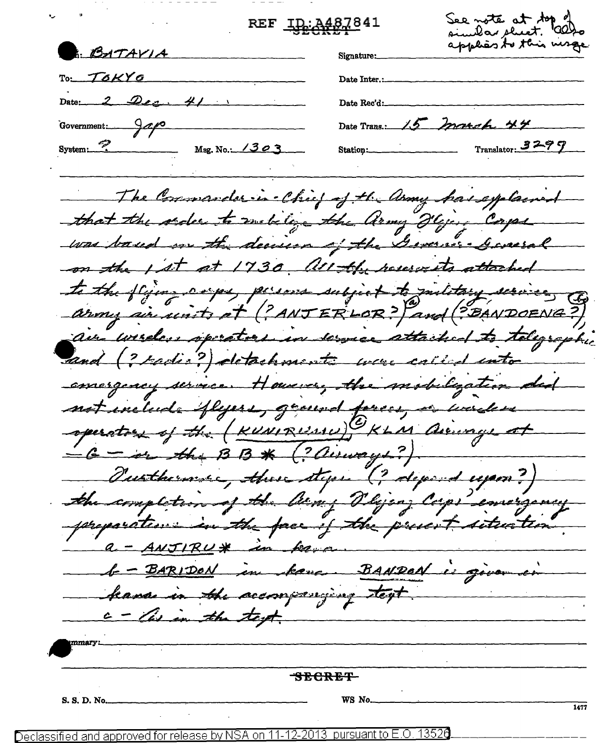See note at top of REF ID: A487841 pinelar sheet. 200 applies to this wise BATAVIA Signature: TOKYO Date Inter Date: Date Rec'd 15 march 44 Government: Date Trans...  $System$  $_{\text{Translator}}$  3299  $Msg. No. 1303$ Station: The Commander in Chief of the Army has explained that the seder to making the Urmy Heje, Corps was based on the decourse of the General General on the 1st at 1730 all the reserve to attached to the flying corps, present subject to julitary. army sincenits at (?ANJERLOR?) and (?BANDOENG?) au under opretoen un vomme attached to telegrophic and (? radis?) detachments were called into emergency service. However, the mobilization ded not include iflyers, ground forces, in worder operators of the (KUNIRUMU) KLM Aumous at - 6 - de the BB\* (? Curvay 1?). Outlerme, there steps (? depend upon?) the completion of the benef Olysa; Corps emergency preparation in the face of the present situation  $ANTIRU*$  in fact 6 - BARIDON in bonc. BANDON is given kana in the accompanying text c - lis in the text. SECRET-S. S. D. No. WS No. 1477

13526 mursuant Declassified a<u>nd</u>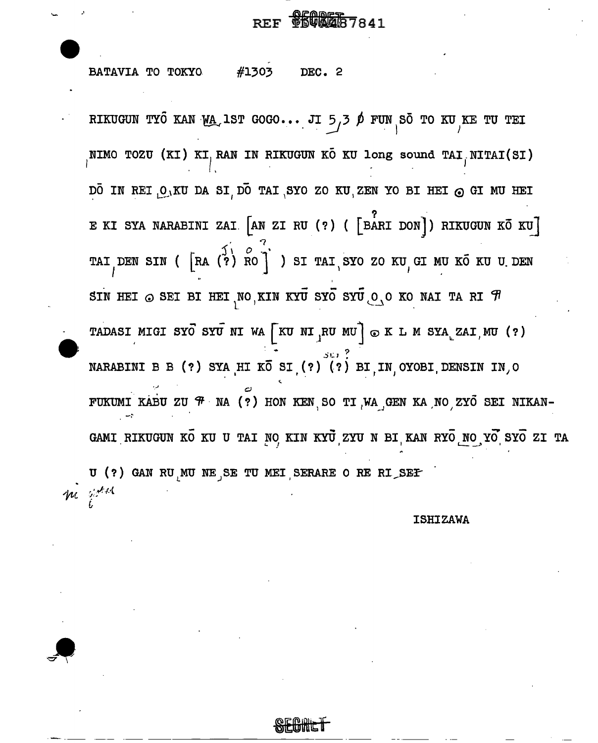## **REF 95000567841**

#1303 **BATAVIA TO TOKYO** DEC. 2

RIKUGUN TYŐ KAN MA 1ST GOGO... JI 5,3  $\beta$  FUN SO TO KU KE TU TEI NIMO TOZU (KI) KI, RAN IN RIKUGUN KÕ KU long sound TAI, NITAI(SI) DO IN REI ONKU DA SI DO TAI SYO ZO KU ZEN YO BI HEI @ GI MU HEI E KI SYA NARABINI ZAI [AN ZI RU (?) ( [BARI DON]) RIKUGUN KŌ KU] TAI DEN SIN ( $\begin{bmatrix} RA & 3 \\ 2 & 2 \end{bmatrix}$   $\begin{bmatrix} 0 & 0 \\ 0 & 1 \end{bmatrix}$ ) SI TAI SYO ZO KU GI MU KÕ KU U DEN SIN HEI  $\odot$  SEI BI HEI NO KIN KYU SYO SYU O O KO NAI TA RI  $\mathcal H$ TADASI MIGI SYO SYU NI WA KU NI RU MU] O K L M SYA ZAI, MU (?) NARABINI B B (?) SYA HI KO SI (?) (?) BI IN, OYOBI DENSIN IN O FUKUMI KABU ZU  $\pi$  NA (?) HON KEN SO TI, WA GEN KA NO ZYO SEI NIKAN-GAMI RIKUGUN KO KU U TAI NO KIN KYU ZYU N BI KAN RYO NO YO SYO ZI TA U (?) GAN RU MU NE SE TU MEI SERARE ORE RI SEF m gold

## **ISHIZAWA**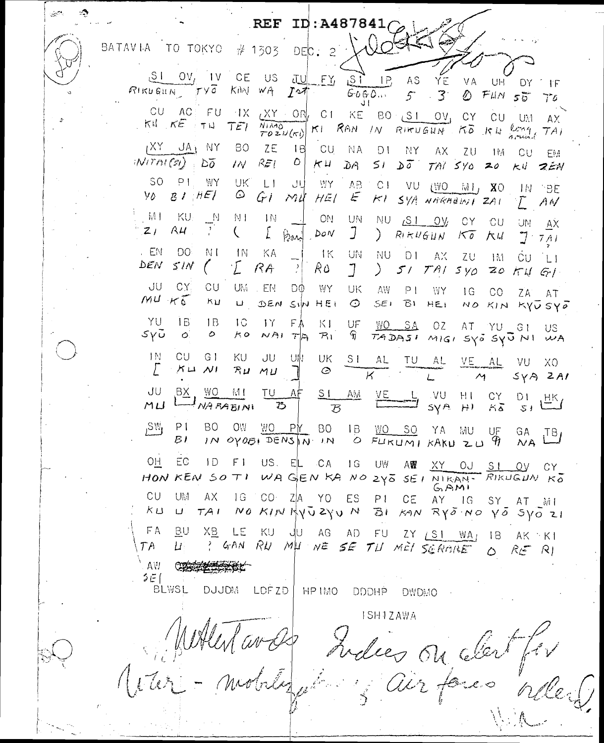| والتناجين | REF ID: A487841 $\bigcirc$                                                                                                                                                                                                                         |
|-----------|----------------------------------------------------------------------------------------------------------------------------------------------------------------------------------------------------------------------------------------------------|
|           | المقتصر<br>المقتصر<br>BATAVIA TO TOKYO<br>素 1303<br>DEC. 2                                                                                                                                                                                         |
|           | $S1$ OV, IV<br>CE US JULEY SI IP<br>AS.<br>丫目<br>VA UH DY IF<br>$K$ M WA $I$ 24<br>RIKUGUN TYO<br>$G-0.6-0.1$<br>$5^{\circ}$<br>$-3$<br>$&$ $F$ $M$ $55$<br>アク                                                                                     |
|           | CU AC FU 1X XY OR CI KE BO SI OV CY CU UM<br>AX.<br>$KU$ $KE$ $7U$<br>TET<br>$\frac{N_1M_0}{T_0M_0(N)}$ KI RAN IN RIFUGUN Kō KU Long TAI                                                                                                           |
|           | IXY JAINY<br>BO.<br>ZE<br>- 18<br>CUNA DINYAX ZU<br><b>IM CU</b><br>– EM<br>$i$ NITAt $\langle z_l \rangle$ , $\Sigma \overline{0}$<br>$\cup$ 0 $\mid$<br>REI<br>KU<br>$\sqrt{N}$<br>DA SI DO TAI SYO 20 KU ZEN                                    |
|           | SO P1, WY<br>UK.<br>$\lfloor \cdot \rfloor$<br>剪字<br>ਾਰਮ<br>AB CI VU <u>(WO MI</u> , XO IN BE<br>$\circ$<br>$y_0$ $B1$ $HE1$<br>$G^{\prime}$<br>MUMEL E KI SYA NAKABINI ZAI [ AN                                                                   |
|           | MI.<br>KU.<br>- N<br>ΝI<br>1N.<br>$\Box$ On $\Box$<br>UN.<br>NU SI OW CY CU<br>- UN<br>- AX<br>RЦ<br>$Z$ /<br>$\sqrt{2}$<br>$\mathbb{J}^-$<br>$\int$ RIKUGUN KO<br>DON<br>$\beta$ an<br>大星<br>$\mathcal{I}$ .<br>7A1                               |
|           | . EN<br>DO <sub>1</sub><br>N I<br>- IN<br>– KA<br>$-1K$<br>UN<br>NU DI<br>AX.<br>ZU<br>$\pm 3.1$<br>CU.<br>L1<br>DEN.<br>SIN<br>'I RA<br>$\left  \frac{2}{\sqrt{2}} \right $<br>RO.<br>$\mathcal{I}$<br>) $51$ TAI $5y0$ 20 KU GI                  |
|           | JU<br>CX<br>CU<br>UM EN<br>DO.<br>WY<br>UK<br>AW PI WY<br>IG<br>CO<br>ZA AT<br>$MUL + E$<br>ĸп<br>U DEN SIN HEI<br>SEI BI HEI<br>- ⊙ -<br>NO KIN KYUSYO                                                                                            |
|           | YU<br>1B.<br>1B<br>10<br>$-1Y$<br>FA<br>- KI -<br>UF WO SA OZ AT YU GI US<br>$S\gamma\bar{\omega}$<br>$\circ$<br>$\circ$<br>六〇<br>NAITA RI 9 TADASI MIGI SYO SYUNI WA                                                                              |
|           | TV.<br>CU<br>G I<br>KU<br>JU UN<br>UK SI<br>AL TU AL VE AL<br>– VU –<br>-XO.<br>$\Gamma$<br>$\mathcal{N}$ $\cup$ $\mathcal{N}$ $\mathcal{N}$<br>$\mathcal{R}$ $\boldsymbol{\mu}$<br>$\circledcirc$<br>M U<br>$\overline{K}$<br>$SYA$ ZAI<br>$\sim$ |
|           | JU<br>BX -<br>WO.<br>51<br>M L<br>TU<br>_AF_<br>АM<br>VE<br>VU HI<br>CY.<br>$\frac{D1}{S}$ , $\frac{HK}{L}$<br>ML<br>$L \rightarrow N4.898 \text{ N}$<br>SYA HI<br>$\mathcal{B}$<br>55                                                             |
|           | ,SW,<br>BO.<br>-P I<br>$O\sqrt{2}$<br>WO.<br>$\mathsf{P}\mathsf{M}$<br>BO<br>$\overline{AB}$<br>WO SO YA MU UF<br>$GA$ , TB<br>B1<br>IN OYOBI DENSIN IN O FUKUMI KAKU ZU 9<br>$NA$ —                                                               |
|           | HO<br>EC.<br>ID FI<br>US. ELL CA IG UW AME <u>XY</u> OJ <u>SI O</u> V<br>CY.<br>HON KEN SO TI WA GEN KA NO 2YO SEI NIKAN- RIKUGUN KO                                                                                                               |
|           | GAMI<br>CU.<br>UM<br>AX.<br>IG CO ZA YO ES PI CE AY IG SY AT MI<br>KU<br>TAI NO KINHYUZYU N BI KAN RYONO VO SYOZI<br>$\Box$ .                                                                                                                      |
|           | FA.<br>BU<br>XB LE<br>KU JUAGAD FUZY <u>ISI WA</u> JIBAK KI<br>: GAN RU MU NE SE TU MEI SERGIE<br>Ш÷<br>T A<br>$RE$ RI<br>$\circ$                                                                                                                  |
|           | $\mathsf{A}\setminus I$<br>るにし                                                                                                                                                                                                                     |
|           | BLWSL<br><b>DJJDM</b><br>LDF ZD<br>HP IMO<br>DDDHP DWDMO<br><b>ISHIZAWA</b>                                                                                                                                                                        |
|           | Un avez Indies on clerk for                                                                                                                                                                                                                        |
|           |                                                                                                                                                                                                                                                    |
|           |                                                                                                                                                                                                                                                    |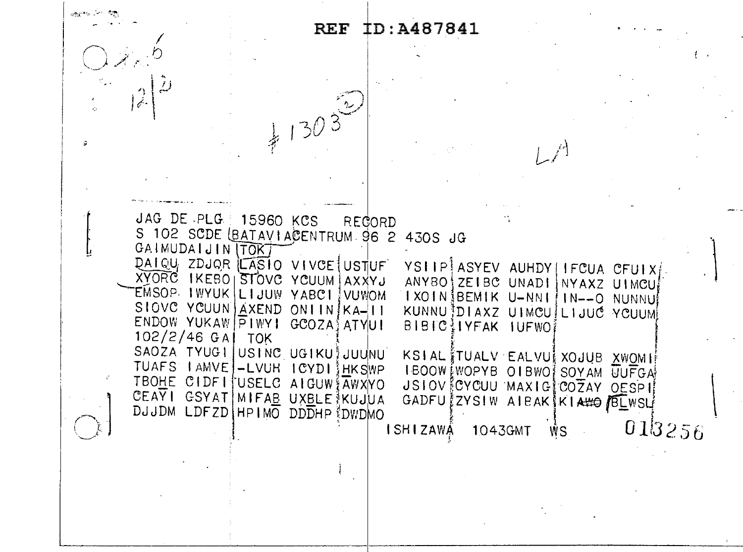REF ID: A487841  $+ 1303$ JAG DE PLG 15960 KCS RECORD S 102 SCDE (BATAVIACENTRUM 96 2 430S JG GAIMUDAIJIN ITOKT DAIQU ZDJQR LASIO VIVCE USTUF YSIIP ASYEV AUHDY IFCUA CFUIX XYORC IKEBOISTOVC YOUUM AXXYJ ANYBO ZEIBC UNADI NYAXZ UIMCU EMSOP IWYUK LIJUW YABCI VUWOM IXOINIBEMIK U-NNIIIN--0 NUNNU! SIOVC YCUUN AXEND ONIIN KA-11 KUNNUIDIAXZ UIMCUILIJUC YOUUM ENDOW YUKAW PIWYI GCOZA ATYUI BIBIC!IYFAK IUFWO! 102/2/46 GAI TOK SAOZA TYUGI USINC UGIKU JUUNU KSIAL TUALV EALVU XOJUB XWOMI TUAFS (AMVE)-LVUH (CYDI) HKSWP IEOOW WOPYB OIBWO SOYAM UUFGA TBOHE CIDFITUSELC AIGUW AWXYO JSIOV CYCUU MAXIGICOZAY OESPII CEAYI GSYAT MIFAB UXBLE KUJUA GADFU ZYSIW AIEAK KIA#O /BLWSL DJJDM LDFZD HPIMO DDDHP EDWDMO 013256 ISHIZAWA 1043GMT  $WS -$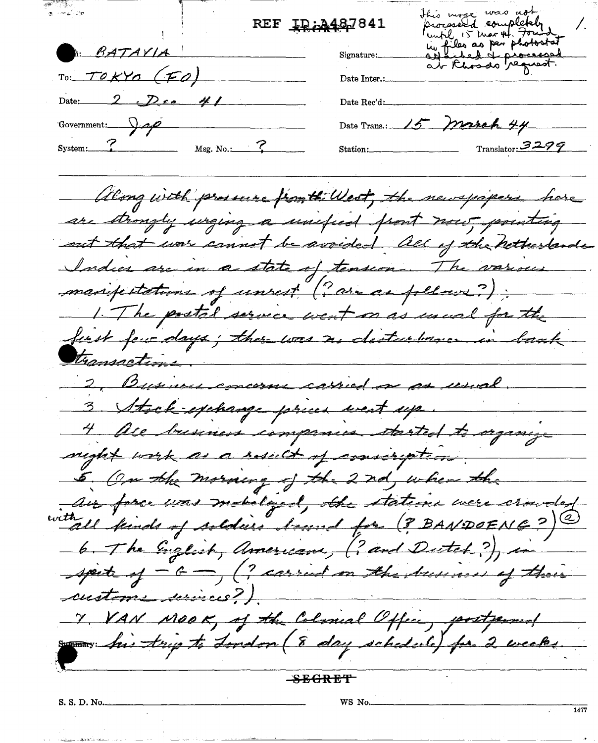this wase was not<br>processed completely<br>hutles as per photostat<br>in files as per photostat<br>and choods request. REF IR: 487841 BATAVIA Signature:  $ToKYO$   $(FO)$ Date Inter.  $Dec$   $#1$ Date Rec'd Government: 900 15 march 44 Date Trans.:  $Translator: 3299$  $Msg. No. 7$  $\frac{1}{2}$ System: Station: along with presence from the West, the newspapers have are strongly urging a unified front now pointing out that was cannot be assided. All of the hetterlands Indies are in a state of tension. The various manifestations of unrest (? are as follows?); 1. The postal service went on as usual for the fust few days; there was no disturbance in bank thansactions. 2, Business concerns carried on as usual. 3. Stock-exchange prices went up. 4 Ale business companies started to organize rught work as a sisued of consergation. 5. On the morning of the 2 nd, where the an force was mobilized, the stations were crowded all kinds of soldiers bound for (? BANDOEN 6?) 6. The English, Americans, (? and Dictch?), spirt of -6 -, (? carried on the stress as of those sustime services? Y VAN MOOK, of the Colonial Office, postponed mars his trip to London (8 day schedule) for 2 weeks <del>-SEGRET</del> WS No. S. S. D. No.  $1477$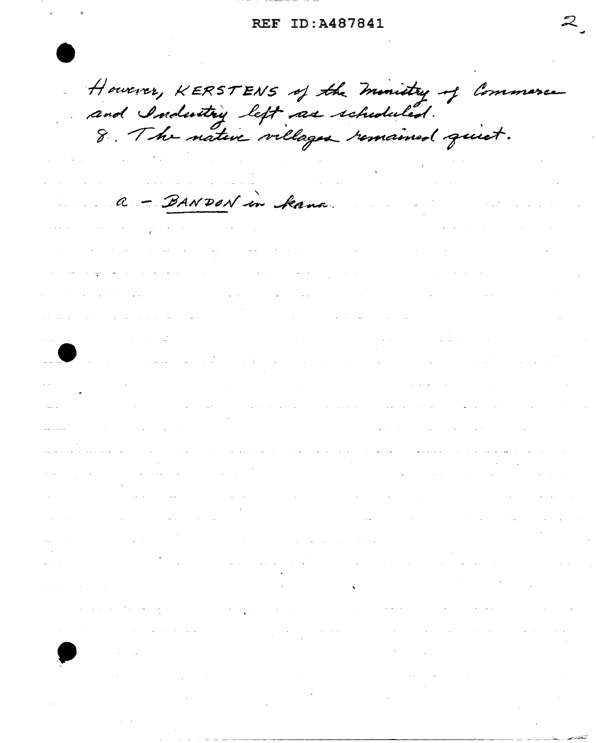## **REF ID:A487841**

However, KERSTENS of the ministry of Commerce a - BANDON in Kana. and a set of the set of  $\mathcal{O}(\mathcal{E})$  , where  $\mathcal{E}(\mathcal{E})$  is the set of the set of  $\mathcal{E}(\mathcal{E})$  $\mathcal{A}(\mathcal{A})$  and  $\mathcal{A}(\mathcal{A})$  $\Delta\phi$  , where  $\Delta\phi$  is the set of the set of the set of the set of the set of  $\phi$  $\label{eq:2.1} \frac{1}{\sqrt{2}}\left(\frac{1}{\sqrt{2}}\right)^{2} \left(\frac{1}{\sqrt{2}}\right)^{2} \left(\frac{1}{\sqrt{2}}\right)^{2} \left(\frac{1}{\sqrt{2}}\right)^{2} \left(\frac{1}{\sqrt{2}}\right)^{2} \left(\frac{1}{\sqrt{2}}\right)^{2} \left(\frac{1}{\sqrt{2}}\right)^{2} \left(\frac{1}{\sqrt{2}}\right)^{2} \left(\frac{1}{\sqrt{2}}\right)^{2} \left(\frac{1}{\sqrt{2}}\right)^{2} \left(\frac{1}{\sqrt{2}}\right)^{2} \left(\$  $\mathcal{L}_{\text{max}}$  and  $\mathcal{L}_{\text{max}}$  and  $\mathcal{L}_{\text{max}}$  are the set of the set of  $\mathcal{L}_{\text{max}}$  $\frac{1}{2} \left( \frac{1}{2} \left( \frac{1}{2} \right) \right) \left( \frac{1}{2} \left( \frac{1}{2} \right) \right) \left( \frac{1}{2} \left( \frac{1}{2} \right) \right) \left( \frac{1}{2} \left( \frac{1}{2} \right) \right) \left( \frac{1}{2} \left( \frac{1}{2} \right) \right) \left( \frac{1}{2} \left( \frac{1}{2} \right) \right) \left( \frac{1}{2} \left( \frac{1}{2} \right) \right) \left( \frac{1}{2} \left( \frac{1}{2} \right) \right) \left( \frac$  $\sigma_{\rm{eff}}$  , and the second polarization of the second second  $\sigma_{\rm{eff}}$ الموارد الموارد الموارد الموارد الموارد الموارد الموارد الموارد الموارد الموارد الموارد الموارد الموارد الموارد<br>وفي الموارد الموارد الموارد الموارد الموارد الموارد الموارد الموارد الموارد الموارد الموارد الموارد الموارد ا  $\mathcal{L}(\mathcal{L}^{\mathcal{L}})$  , where  $\mathcal{L}^{\mathcal{L}}$  is the contribution of the contribution of the contribution of  $\mathcal{L}^{\mathcal{L}}$  $\bullet$  $\label{eq:2.1} \begin{split} \mathcal{L}_{\text{max}}(\mathbf{r}) & = \mathcal{L}_{\text{max}}(\mathbf{r}) \mathcal{L}_{\text{max}}(\mathbf{r}) \,, \end{split}$  $\sim$   $\sim$  $\mathcal{L}_{\mathcal{A}}$  is a subset of the set of the set of the set of the set of the set of the set of and the company of the company of the company of the company of the company of the company of the company of the company of the company of the company of the company of the company of the company of the company of the comp  $\label{eq:2.1} \Psi_{\alpha\beta}(\theta,\theta)=\left\langle \phi_{\alpha\beta}(\theta,\theta)\right\rangle \left\langle \phi_{\alpha\beta}(\theta,\theta)\right\rangle \left\langle \phi_{\alpha\beta}(\theta,\theta)\right\rangle \left\langle \phi_{\alpha\beta}(\theta,\theta)\right\rangle \left\langle \phi_{\alpha\beta}(\theta,\theta)\right\rangle$  $\mathcal{H}^{\text{c}}_{\text{c}}$  and  $\mathcal{H}^{\text{c}}_{\text{c}}$  $\sim$   $\sim$   $\sim$  $\sim 100$  km s  $^{-1}$  $\label{eq:2.1} \frac{1}{2}\sum_{i=1}^n\frac{1}{2}\sum_{i=1}^n\frac{1}{2}\sum_{i=1}^n\frac{1}{2}\sum_{i=1}^n\frac{1}{2}\sum_{i=1}^n\frac{1}{2}\sum_{i=1}^n\frac{1}{2}\sum_{i=1}^n\frac{1}{2}\sum_{i=1}^n\frac{1}{2}\sum_{i=1}^n\frac{1}{2}\sum_{i=1}^n\frac{1}{2}\sum_{i=1}^n\frac{1}{2}\sum_{i=1}^n\frac{1}{2}\sum_{i=1}^n\frac{1}{2}\sum_{i=1}^n\$  $\tau=1.5$ is the contract of the contract of the contract of the contract of the contract of the contract of the contract of the contract of the contract of the contract of the contract of the contract of the contract of the contra  $\label{eq:2.1} \frac{1}{\sqrt{2}}\int_{\mathbb{R}^3}\frac{1}{\sqrt{2}}\left(\frac{1}{\sqrt{2}}\right)^2\frac{1}{\sqrt{2}}\left(\frac{1}{\sqrt{2}}\right)^2\frac{1}{\sqrt{2}}\left(\frac{1}{\sqrt{2}}\right)^2\frac{1}{\sqrt{2}}\left(\frac{1}{\sqrt{2}}\right)^2\frac{1}{\sqrt{2}}\left(\frac{1}{\sqrt{2}}\right)^2\frac{1}{\sqrt{2}}\frac{1}{\sqrt{2}}\frac{1}{\sqrt{2}}\frac{1}{\sqrt{2}}\frac{1}{\sqrt{2}}\frac{1}{\sqrt{2}}$  $\mathcal{O}(\mathcal{A})$  is a set of the set of  $\mathcal{O}(\mathcal{A})$  , and  $\mathcal{O}(\mathcal{A})$  $\hat{\mathbf{v}}$  $\mathcal{L}=\frac{1}{2} \left( \frac{1}{2} \right)$  .  $\hat{r}(\hat{s})$  ,  $\hat{r}$  $\sigma = \frac{1}{2} \left( \frac{1}{2} \right)$  .  $\sigma_{\rm c}$  , and  $\sigma_{\rm c}$  $\label{eq:2} \mathcal{L}(\mathcal{A}) = \mathcal{L}(\mathcal{A}) \mathcal{L}(\mathcal{A})$  $\mathcal{L}(\mathcal{A})$  and  $\mathcal{L}(\mathcal{A})$  and  $\mathcal{L}(\mathcal{A})$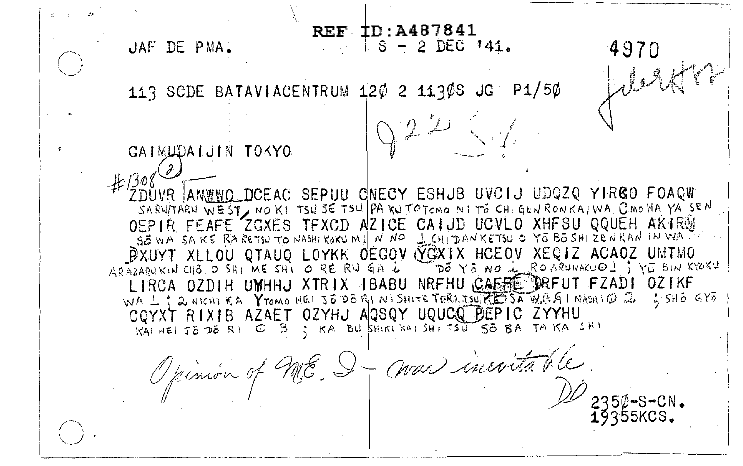REF ID: A487841 JAF DE PMA.  $\sqrt{S}$  - 2 DEC  $141.$ 4970 Lerotre 113 SCDE BATAVIACENTRUM  $12\phi$  2 113 $\phi$ S JG P1/5 $\phi$ GAIMUDALJIN TOKYO  $#1308$ ZDUVR ANWWO DCEAC SEPUU CNECY ESHJB UVCIJ UDQZQ YIRGO FOAQW SARUTARU WEST, NO KI TSU SE TSU PA KUTOTOMO NI TŌ CHI GENRONKAIWA CMOMA YA SEN OEPIR FEAFE ZGXES TEXCD AZICE CAIJD UCVLO XHFSU QQUEH AKTRO SEWA SAKE RARETSU TO NASHI KOKUMI N NO L CHIDANKETSU O YE BESHI ZENRAN IN WA DXUYT XLLOU QTAUQ LOYKK OEGOV VGXIX HCEOV XEQIZ ACAOZ UMTMO LIRCA OZDIH UMHHJ XTRIX IBABU NRFHU CAERE PRFUT FZADI OZIKF WALIONICHIKA YTOMO HEL JODORH NISHITE TERRISURE JORAALNASHIO 2 2 SHO GYO COYXT RIXIB AZAET OZYHJ AQSQY UQUCQ PEPIC ZYYHU KAI HEI JO DO RI @ 3 ; KA BU SHIKI KAI SHI TSU SO BA TA KA SHI Opinion of ME. It was incritatle.  $\int_{4}^{2} 235\% - S - CN.$